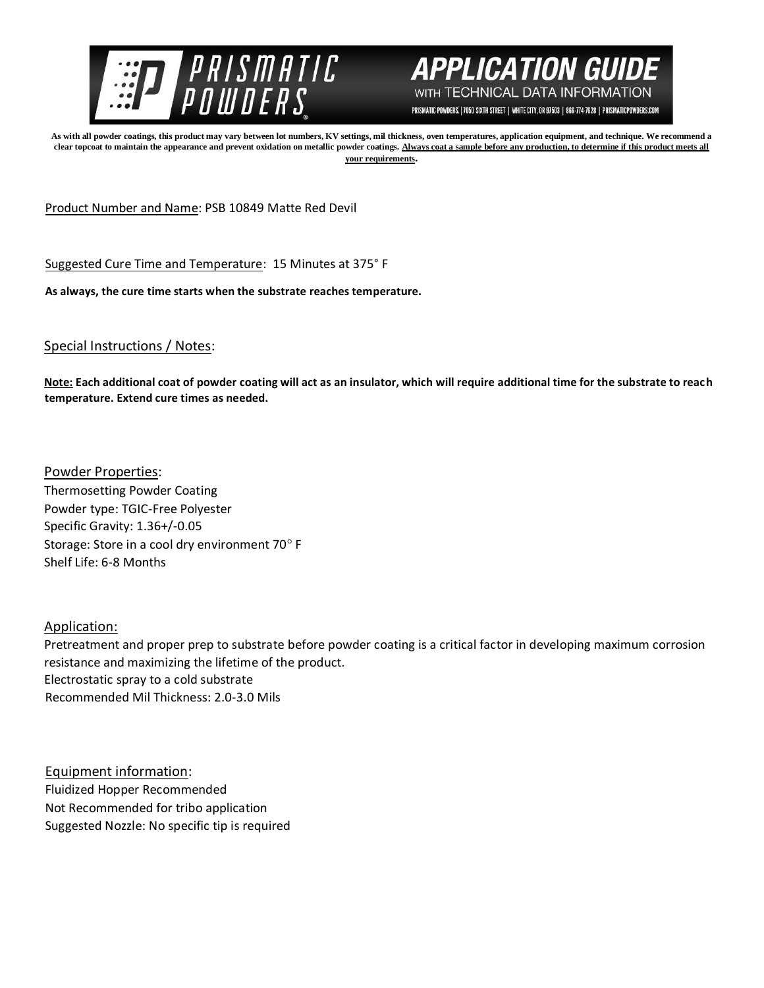



PRISMATIC POWDERS. | 7050 SIXTH STREET | WHITE CITY, OR 97503 | 866-774-7628 | PRISMATICPOWDERS.COM

**As with all powder coatings, this product may vary between lot numbers, KV settings, mil thickness, oven temperatures, application equipment, and technique. We recommend a clear topcoat to maintain the appearance and prevent oxidation on metallic powder coatings. Always coat a sample before any production, to determine if this product meets all your requirements.** 

Product Number and Name: PSB 10849 Matte Red Devil

Suggested Cure Time and Temperature: 15 Minutes at 375° F

**As always, the cure time starts when the substrate reaches temperature.**

Special Instructions / Notes:

**Note: Each additional coat of powder coating will act as an insulator, which will require additional time for the substrate to reach temperature. Extend cure times as needed.** 

Powder Properties: Thermosetting Powder Coating Powder type: TGIC-Free Polyester Specific Gravity: 1.36+/-0.05 Storage: Store in a cool dry environment 70° F Shelf Life: 6-8 Months

Application:

Pretreatment and proper prep to substrate before powder coating is a critical factor in developing maximum corrosion resistance and maximizing the lifetime of the product. Electrostatic spray to a cold substrate Recommended Mil Thickness: 2.0-3.0 Mils

Equipment information: Fluidized Hopper Recommended Not Recommended for tribo application Suggested Nozzle: No specific tip is required